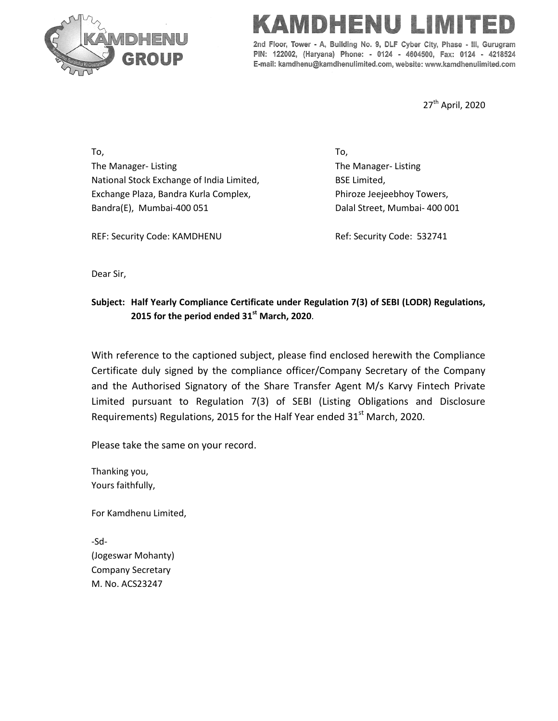

## **VIID LIE NIE**

2nd Floor, Tower - A, Building No. 9, DLF Cyber City, Phase - III, Gurugram PIN: 122002, (Haryana) Phone: - 0124 - 4604500, Fax: 0124 - 4218524 E-mail: kamdhenu@kamdhenulimited.com, website: www.kamdhenulimited.com

27<sup>th</sup> April, 2020

To, The Manager- Listing National Stock Exchange of India Limited, Exchange Plaza, Bandra Kurla Complex, Bandra(E), Mumbai-400 051

To, The Manager- Listing BSE Limited, Phiroze Jeejeebhoy Towers, Dalal Street, Mumbai- 400 001

REF: Security Code: KAMDHENU

Ref: Security Code: 532741

Dear Sir,

## **Subject: Half Yearly Compliance Certificate under Regulation 7(3) of SEBI (LODR) Regulations, 2015 for the period ended 31st March, 2020**.

With reference to the captioned subject, please find enclosed herewith the Compliance Certificate duly signed by the compliance officer/Company Secretary of the Company and the Authorised Signatory of the Share Transfer Agent M/s Karvy Fintech Private Limited pursuant to Regulation 7(3) of SEBI (Listing Obligations and Disclosure Requirements) Regulations, 2015 for the Half Year ended  $31<sup>st</sup>$  March, 2020.

Please take the same on your record.

Thanking you, Yours faithfully,

For Kamdhenu Limited,

-Sd- (Jogeswar Mohanty) Company Secretary M. No. ACS23247